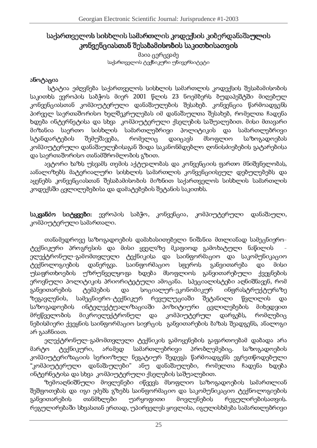## - ----- - 
!" - - -#\$- !
-%-- -& -

მაია ცერცვაძე 01213-45678
0962:;<=3-;=:;5630;969;

## (>?-@A(\*-)
(

სტატია ეძღვნება საქართველოს სისხლის სამართლის კოდექსის შესაბამისობის საკითხს ევროპის საბჭოს მიერ 2001 წლის 23 ნოემბერს ბუდაპეშტში მიღებულ კონვენციასთან კომპილტერლოი დანაშაულების შესახებ, კონვენცია წარმოადგენს პირველ საერთაშორისო ხელშეკრულებას იმ დანაშაულთა შესახებ, რომელთა ჩადენა ხდება ინტერრნეტისა და სხვა კომპიუტერული ქსელების საშუალებით, მისი მთავარი მიზანია საერთო სისხლის სამართლებრივი პოლიტიკის და სამართლებრივი სტანდარტების შემუშავება, რომელიც დაიცავს მსოფლიო საზოგადოებას კომპილტერლო დანაშაულებისაგან შიდა საკანონმდებლო ღონისძიებების გატარებისა და საერთაშორისო თანამშრომლობის გზით.

ავტორი ხაზს უსვამს თემის აქტუალობას და კონვენციის ფართო მნიშვნელობას, აანალიზებს მატერიალური სისხლის სამართლის კონვენციისეულ დებულებებს და აყენებს კონვენციასთან შესაბამისობის მიზნით საქართველოს სისხლის სამართლის კოდექსში ცვლილებებისა და დამატებების შეტანის საკითხს.

**საკვანძო სიტყვეზი:** ევროპის საბჭო, კონვენგია, კომპილტერლოი დანაშაული, კომპილტერული სამართალი. -

თანამედროვე საზოგადოების დამახასითებელი ნიშანია მთლიანად სამეცნიეროტექნიკური პროგრესის და მისი ყველაზე მკაფიოდ გამოხატული ნაწილის ელექტრონულ-გამომთვლელი ტექნიკისა და საინფორმაციო და საკომუნიკაციო ტექნოლოგიების  $\omega$ ანერგვა. საინფორმაციო სფეროს განვითარება და მისი უსაფრთხოების უზრუნველყოფა ხდება მსოფლიოს განვითარებული ქვეყნების ეროვნული პოლიტიკის პრიორიტეტული ამოცანა. სპეციალისტები აღნიშნავენ. რომ განვითარების ტემპების და სოციალურ-ეკონომიკურ ინფრასტრუქტურაზე ზეგავლენის, სამეც >)
+%,\$?[s@A+G>)LY\,|,-+.YAI Y\\*შეტანილი ) is a set of the set of the set of the set of the set of the set of the set of the set of the set of the set of the set of the set of the set of the set of the set of the set of the set of the set of the set of the set of საზოგადოების  $\blacksquare$ ვლილებების მიხედვით მრეწველობის მიკროელექტრონულ და კომპიუტერულ დარგებს, რომლებიც ნებისმიერი ქვეყნის საინფორმაციო სივრცის. განვითარების ბაზას შეადგენს, ანალოგი  $\delta$ 6 გააჩნიათ.

ელექტრონულ-გამომთვლელი ტექნიკის გამოყენების გაფართოებამ დაბადა არა მარტო ტექნიკური, არამედ სამართლებრივი პრობლემებიც. საზოგადოების კომპილტერირიზაციის სერიოზულ ნეგატიურ შედეგს წარმოადგენს ეგრეთწოდებული "კომპილტერული დანაშაულ ები" ანუ დანაშაულები, რომელ ჩადენა ხდება ინტერნეტისა და სხვა კომპიუტერული ქსელების საშუალებით. \_

ზემოაღნიშნული მოვლენები იწვევს მსოფლიო საზოგადოების სამართლიან შეშფოთებას და იგი ეძებს გზებს საინფორმაციო და საკომუნიკაციო ტექნოლოგიების განვითარების თანმხლები უარყოფითი მოვლენების +>+%E)<sup>B</sup> ,-+`FY\I )
,\$+%E)B(H.%)B^ რეგულირებაში სხვასთან ერთად, უპირველეს ყოვლისა, იგულისხმება სამართლებრივ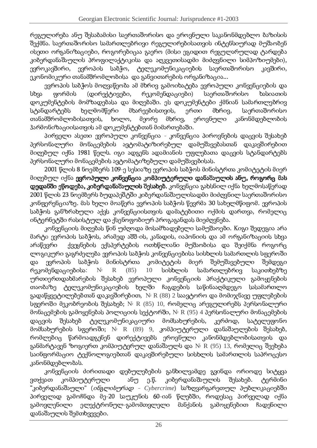რეგულირება ანუ შესაბამისი საერთაშორისო და ეროვნული საკანონმდებლო ბაზისის შექმნა. საერთაშორისო სამართლებრივი რეგულირებისათვის ინტერსიურად მუშაობენ ისეთი ორგანიზაციები, როგორებიცაა გაერო (მისი ეგიდით რეგულარულად ტარდება კიზერდანაშაულის პროფილაქტიკისა და აღკვეთისადმი მიძღვნილი სიმპოზიუმები), ევროკავშირი, ევროპის საბჭო, ტელეკომუნიკაც საერთაშორისო კავშირი, ეკონომიკური თანამშრომლობისა და განვითარების ორგანიზაცია...

ევროპის საზჭოს მოღვაწეობა ამ მხრივ გამოიხატება ევროპული კონვენციების და სხვა ფორმის (დირექტივები, რეკომენდაციები) საერთაშორისო ხასიათის დოკუმენტების მომზადებასა და მიღებაში. ეს დოკუმენტები ქმნიან სამართლებრივ სტანდარტებს ხელმომწერი მხარეებისთვის, ერთი მხრივ, საერთაშორისო თანამშრომლობისათვის, ხოლ ხოლო, მეორე მხრივ, ეროვნული ი კანონმდებლობის ჰარმონიზაციისათვის ამ დოკუმენტებთან მიმართებაში.

O%)
,\$.+I )r(B+H)r+.,-?-O%Y\I ) L?[>.%+%>\*-)
(cs L?->.+>\*-)
(cO%)
,-?-.>+EF)<sup>B</sup> M(\*-.)<sup>B</sup>N+B(K+%E პერსონალური მონაცემების ავტომატიზირებულ დამუშავებასთან დაკავშირებით მიღებულ იქნა 1981 წელს, იგი ადგენს ადამიანის უფლებათა დაცვის სტანდარტებს პერსონალური მონაცემების ავტომატიზებული დამუშავებისას.

2001 წლის 8 ნოემბერს 109-ე სესიაზე ევროპის საბჭოს მინისტრთა კომიტეტის მიერ მიღებულ იქნა **ევროპული კონვენცია კომპიუტერული დანაშაულის ანუ. როგორც მას დედანში ეწოდება. კიბერდანაშაულის შესახებ.** კონვენცია გახსნილ იქნა ხელმოსაწერად 2001 წლის 23 ნოემბერს ბუდაპეშტში კიბერდანაშაულისადმი მიძოვნილ საერთაშორისო კონფირენციაზე, მას ხელი მოაწერა ევროპის საბჭოს წევრმა 30 სახელმწიფომ, ევროპის საბჭოს განზრახული აქვს კონვენციისთვის დამატებითი ოქმის დართვა, რომელიც ინტერნეტში რასისტულ და ქსენოფობიურ პროგაგანდას მიეძღვნება.

კონვენციის მიღებას წინ უძღოდა მოსამზადებელი სამუშაოები. Koგი შედეგია არა მარტი ევროპის საბჭოს, არამედ აშშ-ის, კანადის, იაპონიის და ამ ორგანიზაციის სხვა არაწევრი — ქვეყნების ექსპერტების ოთხწლიანი მუშაობისა და შეიქმნა როგორც ლოგიკური გაგრძელება ევროპის საბჭოს კონვენციებისა სისხლის სამართლის სფეროში და ევროპის საბჭოს მინისტრთა კომიტეტის მიერ შემუშავებული  $\mathfrak{g}_0$ მდეგი რეკომენდაციებისა: \_\_\_  $N<sup>2</sup>$  R (85) 10 bobbcoob სამართლებრივ საკითხებზე <u>ორთიერთდახმარების შესახებ ევროპოლი კონვენციის პრაქტიკული გამოყენების </u> თაობაზე ტელეკომუნიკაციების ხელში ჩაგდების საწინააღმდეგო სასამართლო გადაწყვეტილებებთან დაკავშირებით, № R (88) 2 საავტორო და მომიჯნავე უფლებების სფეროში მეკობრეობის შესახებ;  ${\rm N_{\rm \ell}}$  R  $(85)$   $10$ , რომელიც არეგულირებს პერსონალური მონაცემების გამოყენებას პოლიციის სექტორში,  $\rm N^{\textrm{\tiny{\rm{D}}}}$  R  $(95)$  4 პერსონალური მონაცემების დაცვის ვის შესახებ ტელეკომუნიკაც მომსახურების, კერძოდ, სატელეფონო მომსახურების სფეროში;  $\rm N^{\scriptscriptstyle [2]}$   $\rm R$   $(89)$  9, კომპიუტერული დანაშაულების შესახებ, რომლებიც წარმოადგენენ დირექტივებს ეროვნული კანონმდებლობისათვის და განმარტავენ ზოგიერთ კომპიუტერულ დანაშაულს და № R (95) 13, რომელიც შეეხება საინფორმაციო ტექნოლოგიებთან დაკავშირებული სისხლის სამართლის საპროცესო კანონმდებლობას.

კონვენციის ძირითადი დებულებების განხილვამდე გვინდა ორიოდე სიტყვა ვთქვათ კომპიუტერული ანუ ე.წ. კიბერდანაშაულის შესახებ. ტერმინი "კიბერდანაშაული" (*ინგლისურად - Cybercrime*) საზღვარგარეთულ პუბლიკაციებში პირველად გამოჩნდა მე-20 საუკუნის 60-იან წლებში, როდესაც პირველად იქნა გამოვლენილი ელექტრონულ-გამომთვლელი მანქანის გამოყენებით ჩადენილი დანაშალლის შემთხვევები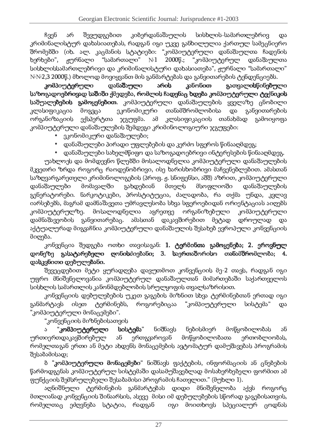ჩვენ არ შევუდგებით კიბერდანაშაულის ის სისხლის-სამართლებრივ და კრიმინალისტურ დახასიათებას, რადგან იგი უკვე განხილულია ქართულ სამეცნიერო შრომებში (იხ. ალ. კაცმანის სტატიები: "კომპიუტერული დანაშაულთა ჩადენის  $b$ ერხები", ჟურნალი "სამართალი" №1 2000წ.; "კომპიუტერულ დანაშაულთა სისხლისსამართლებრივი და კრიმინალისტური დახასიათება", ჟურნალი "სამართალი" —  $\mathbb{N}\mathbb{N}$ 2,3 2000წ.) მხოლოდ მოვიყვანთ მის განმარტებას და განვითარების ტენდენციებს.

<u>კომპილტერლ</u>ლი ) M( M(>(>(>(>(NNNN((((YAI ) YAI არის კანონით ) <sup>I</sup>I )BBBBV)
>+ V)
>+V)
>+ V)
>+EFYAI ) EFYAI საზოგადოებრივად საშიში ქმედება, რომლის ჩადენაც ხდება კომპიუტერული ტექნიკის **საშუალებების ჯამოყენებით.** კომპიუტერული დანაშაულების ყველაზე ცნობილი LI (B)
j-)L(\*მოგვცა ეკონომიკური თანამშრომლობისა და განვითარების ორგანიზაციის ექსპერტთა  $x_8$ უფმა. ამ ასიფიკაციის თანახმად გამოიყოფა კომპიუტერული დანაშაულების შემდეგი კრიმინოლოგიური ჯგუფები:

- - ეკონომიკური დანაშაულები; -
- $\bullet$  \_ დანაშაულები პირადი უფლებების და კერძო სფეროს წინააღმდეგ; \_
- $\bullet$  \_ დანაშაულები სახელმწიფო და საზოგადოებრივი ინტერესების წინააღმდეგ. \_

უახლოეს და მომდევნო წლებში მოსალოდნელია კომპიუტერული დანაშაულების მკვეთრი ზრდა როგორც რაოდენობრივი, ისე ხარისხობრივი მაჩვენებლებით, ამასთან საზღვარგარეთელი კრიმინოლოგების (პროფ. ჟ. სნიფენსი, აშშ) აზრით. კომპიუტერული დანაშაულები მომავალში გახდებიან მთელს მსოფლიოში ) and the contract of the contract of the contract of the contract of the contract of the contract of the contract of the contract of the contract of the contract of the contract of the contract of the contract of the cont <u>გენერატორები, ნარკოტიკები, პროსტიტუ</u>ცია, ძალადობა, რა თქმა უნდა, კვლავ იარსებებს, მაგრამ დამნაშავეთა უმრავლესობა სხვა სფეროებიდან ორიენტაციას აიღებს კომპიუტერულზე. ზე, მოსალოდნელ ორგანიზებული ი კომპილტერლლი დამნაშავეობის განვითარებაც, ამასთან დაკავშირებით მეტად დროულად და აქტუალურად მიგვაჩნია კომპიუტერული დანაშაულის შესახებ ევროპული კონვენციის მიღება.

კონვენცია შედგება ოთხი თავისაგან**: 1. ტერმინთა გამოყენება: 2. ეროვნულ** დონეზე გასატარებელი ღონისძიებანი; 3. საერთაშორისო თანამშრომლობა; -^ ^ M(BL.%>)
H)M+%EY\I +EF(>%)
^

შევეცდებით მეტი ყურადღება დავუთმოთ კონვენციის მე-2 თავს, რადგან იგი <u>ოფრო მნიშვნელოვანია კომპიუტერულ დანაშაულთან მიმართებაში საქართველოს </u> სისხლის სამართლის კანონმდებლობის სრულყოფის თვალსაზრისით.

კონვენციის დებულებების უკეთ გაგების მიზნით სხვა ტერმინებთან ერთად იგი განმარტავს ისეთ ტერმინებს, როგორებიცაა "კომპიუტერული სისტემა" და "კომპილტერლლი მონაცემები". -

"კონვენციის მიზნებისათვის —

ა "კომპილტერლოი l სისტემა" ნიშნავს ნებისმიერ მოწყობილობას ან ურთიერთდაკავშირებულ ან ერთგვაროვან მოწყობილობათა references the effect of the effect of the effect of the effect of the effect of the effect of the effect of the effect of the effect of the effect of the effect of the effect of the effect of the effect of the effect of t რომელთაგან ერთი ან მეტი ახდენს მონაცემების ავტომატურ დამუშავებას პროგრამის შესაბამისად;

ზ **"კომპილტერლოი მონაგემეზი**" ნიშნავს ფაქტების, ინფორმაციის ან ცნებების წარმოდგენას კომპიუტერულ სისტემაში დასამუშავებლად მოსახერხებელი ფორმით ამ ფუნქვიის შემსრულებელი შესაბამისი პროგრამის ჩათვლით." (მუხლი 1).

აონიშნული ტერმინების განმარტებას დიდი მნიშვნელობა აქვს როგორც მთლიანად კონვენციის შინაარსის, ასევე, მისი იმ დებულებების სწორად გაგებისათვის, რომელთაც ეძღვნება სტატია, რადგან — იგი მოითხოვს სპეც )
(I Y\,~\*-?-M>(<sup>B</sup>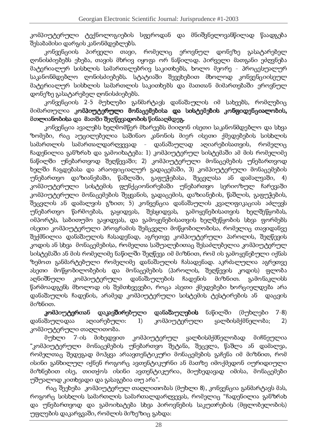კომპილტეროლი ტექნოლოგიების სფეროდან და მნიშვნელოვანწილად წაადგება შესაზამისი დარჯის კანონმდებლებს.

L?->.+>\*-)
)<sup>B</sup> O%)
,-.%+%I <u>ი თავი, რომელიც ეროვნულ დონეზე გასატარებელ</u> ონისძიებებს ეხება, თავის მხრივ იყოფა ორ ნაწილად, პირველი მათგანი ეძოვნება მატერიალურ სისხლის სამართალებრივ საკითხებს, ხოლო მეორე - პროცესუალურ საკანონმდებლო ოონისძიებებს. სტატიაში შევეხებით მხოლოდ კონვენციისელლ მატერიალურ სისხლის სამართლის საკითხებს და მათთან მიმართებაში ეროვნულ დონეზე გასატარებელ ღონისძიებებს.

კონვენციის 2-5 მუხლები განმარტავს დანაშაულის იმ სახეებს, რომლებიც მიმართულია **კომპიუტერული მონაგემებისა და სისტემების კონფიდენგიალობის.** მთლიანობისა და მათში შეოწევადობის წინააომდეგ.

კონვენცია ავალებს ხელმომწერ მხარეებს მიიღონ ისეთი საკანონმდებლო და სხვა ზომები, რაც აუცილებელია საშინაო კანონის მიერ ისეთი ქმედებების სისხლის სამართლის სამართალდარღვევად - დანაშალლ აღიარებისათვის, რომელიც ჩადენილია განზრახ და გამოიხატება: 1) კომპიუტერულ სისტემაში ამ მის რომელიმე ნაწილში უნებართვოდ შეოწევაში; 2) კომპიუტერული მონაცემების უნებართვოდ ხელში ჩაგდებასა და არაოფიციალურ გადაცემაში, 3) კომპიუტერული მონაცემების უნებართვო დაზიანებაში. წაშლაში, გაფუჭებასა, შევვლასა ან დამალვაში, 4 კომპიუტერული სისტემის ფუნქციონირებაში უნებართვო სერიოზულ ჩარევაში კომპილტერლო მონაცემების შეყვანის, გადაცემის, დაზიანების, წაშლის, გაფლჭების, შეცვლის ან დამალვის გზით: 5) კონვენცია დანაშაულის კვალიფიკაციას აძლევს უნებართვო წარმოებას, გაყიდვას, შესყიდვას, გამოყენებისათვის ხელშეწყობას, იმპორტს, საბითუმო გაყიდვას, და გამოყენებისათვის ხელშეწყობის სხვა ფორმებს ისეთი კომპილტერლოი პროგრამის შემცველი მოწყობილობისა, რომელიც თავიდანვე შექმნილია დანაშაულის ჩასადენად, აგრეთვე კომპიუტერული პაროლის, შეოწევის კოდის ან სხვა. მონაცემებისა, რომელთა საშუალებითაც შესაძლებელია კომპიუტერულ სისტემაში ან მის რომელიმე ნაწილში შეღწევა იმ მიზნით, რომ ის გამოყენებული იქნას ზემოთ განმარტებული რომელიმე დანაშაულის ჩასადენად, აკრძალულია აგრეთვე ასეთი მოწყობილობების და მონაცემების (პაროლის, შეოწევის კოდის) ფლობა აღნიშნული <u>ი კომპილტირლ</u>ოი დანაშალო  $B$  $\infty$ ენის მიზნით. გამონაკლისს წარმოადგენს მხოლოდ ის შემთხვევები, როცა ასეთი ქმედებები ხორციელდება არა დანაშაულის ჩადენის, არამედ კომპიუტერული სისტემის ტესტირების ან დაც  $Q5330$  $\partial$  $\sigma$  $\delta$  $\delta$  $\sigma$  $\sigma$ .

კომპილტერთან დაკავშირებლლი დანაზ )}M( )}M(>(>(>(>(NNNN((((YAI <sup>+</sup> YAI YAI ნაწილში  $\theta$ ლზლები  $7-8$ დანაშაულადაა  $\sim$  U-Fyan  $\sim$  U-Fyan  $\sim$  EFFA  $\sim$  EFFA  $\sim$  EFFA  $\sim$  EFFA  $\sim$  EFFA  $\sim$  EFFA  $\sim$  EFFA  $\sim$  EFFA  $\sim$  EFFA  $\sim$  EFFA  $\sim$  EFFA  $\sim$  EFFA  $\sim$  EFFA  $\sim$  EFFA  $\sim$  EFFA  $\sim$  EFFA  $\sim$  EFFA  $\sim$  EFFA  $\sim$  EFFA  $\sim$  EF კომპიუტერული ი ყალბისმქმნელობა: 2 კომპილტერლოი თაოლითობა.

მოხლი <u>Z-ის მიხედვით კომპილტერლო ყალბისმქმნელ</u> ობად მიჩნელლია -"კომპიუტერული მონაცემების უნებართვო შეტანა, შეცვლა, წაშლა ან დამალვა, " რომელთაც შედეგად მოჰყვა არაავთენტიკური მონაცემების გაჩენა იმ მიზნით, რომ ისინი განხილულ იქნენ როგორც ავთენტიკურნი ან მათზე იმოქმედონ იურიდიული მიზნებით ისე, თითქოს ისინი ავთენტიკურია, მიუხედავად იმისა, მონაცემები  $\frac{1}{\sqrt{2}}$  , and the set of the set of the set of the set of the set of the set of the set of the set of the set of the set of the set of the set of the set of the set of the set of the set of the set of the set of the

რაც შეეხება "კომპილტერლო თაღლითობას (მუხლი 8), კონვენცია განმარტავს მას, როგორც სისხლის სამართლის სამართალდაროვევას, რომელიც "ჩადენილია განზრახ და უნებართვოდ და გამოიხატება სხვა პიროვნების საკუთრების (მფლობელობის უფლების დაკარჯვაში, რომლის მიზეზიც გახდა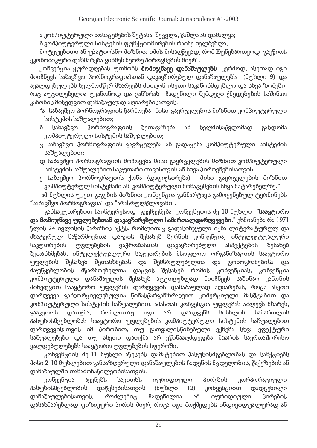ა კომპიუტერული მონაცემების შეტანა, შეცვლა, წაშლა ან დამალვა;

ზ კომპიუტერული სისტემის ფუნქციონირების რაიმე ხელშეშლა, -

'?-@An%YA+%E)
H)(> YAO%(@A)
?B>?J')
dA>)
H)
'%)B '%)B(D\$V+%.%(MaF,-?-'-Y\>+EF(,-H.%?[M`F(+V)
?<sup>B</sup> ეკონომიკური დახმარება ვინმეს მეორე პიროვნების მიერ".

კონვენცია ყურადღებას უთმობს **მომიჯნავე დანაშაულებს.** კერძოდ, ასეთად იგი მიიჩნევს საბავშვო პორნოგრაფიასთან დაკავშირებულ დანაშაულებს (მუხლი 9) და ავალდებულებს ხელმომწერ მხარეებს მიიღონ ისეთი საკანონმდებლო და სხვა ზომები, რაც აუცილებელია უკანონოდ და განზრახ\_ ჩადენილი შემდეგი ქმედებების საშინაო კანონის მიხედვით დანაშაულად აღიარებისათვის: \_

- "ა\_საბავშვო პორნოგრაფიის წარმოება\_მისი გავრცელების მიზნით კომპიუტერული სისტემის საშუალებით: -
- ბ საბავშვო პორნოგრაფიის შეთავაზება ან 'ხელმისაწვდომად გახდომა კომპილტერლლი სისტემის საშლალებით: -
- ც საბავშვო პორნოგრაფიის გავრცელება ან გადაცემა კომპიუტერული სისტემის  $\blacksquare$  . The set of the set of the set of the set of the set of the set of the set of the set of the set of the set of the set of the set of the set of the set of the set of the set of the set of the set of the set of the
- დ საბავშვო პორნოგრაფიის მოპოვება მისი გავრცელების მიზნით კომპიუტერული სისტემის საშუალებით საკუთარი თავისთვის ან სხვა პიროვნებისათვის: -
- ე საბავშვო პორნოგრაფიის ქონა (დაფიქსირება) ) მისი გავრცელების მიზნით კომპილტერლ სისტემაში ან\_კომპილტერლოი მონაცემების სხვა მატარებელზე." —

ამ მუხლის უკეთ გაგების მიზნით კონვენცია განმარტავს გამოყენებულ ტერმინებს B(EF(.N.? O%?-,->?-`F,-(j-)
(M( (,-(B,\$Y\I VI ?-.(>)
^

xანსაკუთრებით საინტერესოდ. xვეჩვენება. კონვენციის მე-10 მუხლი -"**საავტორო და მომიჯნავე უფლებებთან დაკავშირებული სამართალდარღვევები.**" ეხმიანება რა 1971 წლის 24 ივლისის პარიზის აქტს, რომლითაც გადასინჯული იქნა ლიტერატურულ და მხატვრულ ნაწარმოებთა დაცვის შესახებ ბერნის კონვენცია, ინტელექტუალური საკუთრების უფლებების ვაჭრობასთან დაკავშირებული ასპექტების შესახებ შეთანხმებას, ინტელექტუალური საკუთრების მსოფლიო ორგანიზაციის საავტორო <u>ოფლების შესახებ შეთანხმებას და შემსრულებელ</u> ფონოგრამებისა **და** მაუწყებლობის მწარმოებელთა დაცვის შესახებ რომის კონვენც (Ba L?]) (Ba L?) (Ba L?) (Ba L?) (Ba L?) (Ba L?) (Ba L?) (Ba L?) (Ba L?) (Ba L?) (Ba L?) (Ba L?) (Ba L?) (Ba L კომპილტეროლი დანაშალლის შესახებ ალგილებლად მიიჩნევს საშინაო კანონის მიხედვით საავტორო უფლების დარღვევის დანაშაულად აღიარებას, როგა ასეთი დაროვევა განხორციელებულია წინასწარგანზრახვით კომერციული მასშტაბით და კომპილტერლო სისტემის საშლალებით, ამასთან კონვენცია უფლებას აძლევს მხარეს, გააკეთოს დათქმა, რომლითაც იგი არ დაადგენს სისხლის ის სამართლის პასუხისმგებლობას საავტორო უფლებების კომპიუტერული სისტემის საშუალებით დარღვევისათვის იმ პირობით, თუ გათვალისწინებული ექნება სხვა ეფექტური საშუალებები და თუ ასეთი დათქმა არ ეწინააომდეგება მხარის საერთაშორისო . The matrix is the matrix of the matrix is the matrix of the matrix is the matrix of the matrix of the matrix is the matrix of the matrix of the matrix is the matrix of the matrix of the matrix is the matrix of the matri

კონვენციის მე-11 მუხლი აწესებს დამატებით პასუხისმგებლობას და სანქციებს მისი 2-10 მუხლებით განსაზღვრული დანაშაულების ჩადენის მცდელობის, წაქეზების ან დანაშაულში თანამონაწილეობისათვის. -

 $305305$ ცია აყენებს საკითხს იურიდიული ) Oxida (1991) (1992) (1993) (1994) (1994) (1995) (1994) (1995) (1995) (1995) (1995) (1995) (1995) (1996) (199 პასუხისმგებლობის დაწესებისათვის (მუხლი  $12)$  $3$ ონვენციით ), and the contract of the contract of the contract of the contract of the contract of the contract of the contract of the contract of the contract of the contract of the contract of the contract of the contract of the co დანაშაულებისათვის, რომლ რომლებიც ჩადენილია ამ იურიდიული პირების დასახმარებლად ფიზიკური პირის მიერ, როცა იგი მოქმედებს ინდივიდუალურად ა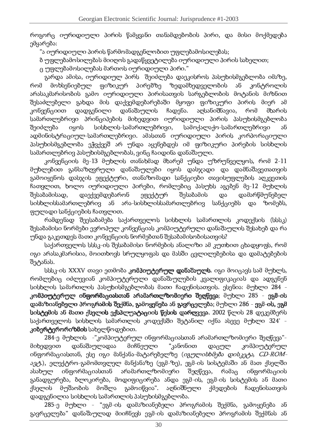როგორც იურიდიული პირის წამყვანი თანამდებობის პირი, და მისი მოქმედება ემყარება:

"ა იურიდიული პირის წარმომადგენლობით უფლებამოსილებას;

ზ უფლებამოსილებას მიიღოს გადაწყვეტილება იურიდიული პირის სახელით: \_

ც უფლებამოსილებას მართოს იურიდიული პირი." —

<u>გარდა ამისა, იურიდიულ პირს. შეიძლება დაეკისროს პასუხისმგებლობა იმაზე, </u> რომ მოხსენიებულ ფიზიკურ პირებზე ზედამხედველობის records and the cordinate of the cordinate of the cordinate of the cordinate of the cordinate of the cordinate of the cordinate of the cordinate of the cordinate of the cordinate of the cordinate of the cordinate of the co არასაკმარისობის გამო იურიდიული პირისათვის სარგებლობის მოტანის მიზნით შესაძლებელი გახდა მის დაქვემდებარებაში მყოფი ფიზიკური პირის მიერ ამ კონვენციით დადგენილი დანაშაულის ჩადენა. აღსანიშნავია, რომ მხარის სამართლებრივი პრინგიპების მიხედვით იურიდიული პირის პასუხისმგებლობა შეიძლება ება იყოს სისხლის-სამართლ ებრივი, სამოქალაქო-სამართლებრივი ან ადმინისტრაციულ-სამართლებრივი, ამასთან იურიდიული პირის კორპორაციული პასუხისმგებლობა ეჭვქვეშ არ უნდა აყენებდეს იმ ფიზიკური პირების სისხლის სამართლებრივ პასუხისმგებლობას, ვინც ჩაიდინა დანაშაული.

კონვენციის მე-13 მუხლის თანახმად მხარემ უნდა უზრუნველყოს, რომ 2-11 მუხლებით განსაზღვრული დანაშაულები იყოს დასჯადი და დამნაშავეთათვის გამოიყენოს დასჯის ეფექტური, თანაზომადი სანქციები თავისუფლების აღკვეთის ჩათვლით, ხოლო იურიდიული პირები, რომლებიც პასუხს აგებენ მე-12 მუხლის შესაბამისად, დაექვემდებარონ ეფექტურ შესაბამის და დამარწმუნებელ სისხლისსამართლებრივ ან არა-სისხლისსამართლებრივ სანქციებს და ზომებს, j-YAI (M) B(>G\*-)
+%E)<sup>B</sup> b%(H.%I )
H^

რამდენად შეესაბამება საქართველოს სისხლის სამართლის კოდექსის (სსსკ შესაბამისი ნორმები ევროპულ კონვენციას კომპიუტერული დანაშაულის შესახებ და რა უნდა გაკეთდეს მათი კონვენციის ნორმებთან შესაბამისობისათვის?

საქართველოს სსსკ-ის შესაბამისი ნორმების ანალიზი ამ კუთხით ცხადყოფს, რომ იგი არასაკმარისია, მოითხოვს სრულყოფას და მასში ცვლილებებისა და დამატებების შეტანას.

სსსკ-ის XXXV თავი ეთმობა **კომპილტერლო დანაშაულს.** იგი მოიცავს სამ მუხლს, რომლებიც იძლევიან კომპიუტერული დანაშაულების კვალიფიკაციას და ადგენენ სისხლის სამართლის პასუხისმგებლობას მათი ჩადენისათვის. ესენია: მუხლი 284 კომპილტერლო ინფორმაციასთან არამართლზომიერი შეოწევა: მუხლი 285 - ეგმ-ის დამაზიანებელი პროგრამის შექმნა, გამოყენება ან გავრცელება; მუხლი 286 - ეგმ-ის, ეგმ **სისტემის ან მათი ქსელის ექსპლუატაგიის წესის დარღვევა. 2002** წლის 28 დეკემბერს საქართველოს სისხლის სამართლის კოდექსში შეტანილ იქნა ასევე მუხლი 324' - . L)
EF+%,-@A+,-?-,-)
dA')BAB <sup>B</sup> (K+I V?[M+EF)
H^

284-ე მუხლის -"კომპიუტერულ ინფორმაციასთან არამართლზომიერი შეოწევა"მიხედვით დანაშაულადაა  $d$ იჩნეული "კანონით დაცულ კომპიუტერულ ინფორმაციასთან, ესე იგი მანქანა-მატარებელზე (*იგულისხმება დისკეტა, CD-ROMავტ*.), ელექტრო-გამომთვლელ მანქანაზე (ეგმ-ზე), ეგმ-ის სისტემაში ან მათ ქსელში  $s$ სახულ ინფორმაციასთან არამართლზომიერი ზომიერი შეოწევა. რამაც ინფორმაციის განადგურება, ბლოკირება, მოდიფიცირება ანდა ეგმ-ის, ეგმ-ის სისტემის ან მათი ქსელის მუშაობის მოშლა გამოიწვია". აღნიშნული  $10$ ედების ჩადენისათვის დადგენილია სისხლის სამართლის პასუხისმგებლობა.

285-ე მუხლი - "ეგმ-ის დამაზიანებელი პროგრამის შექმნა, გამოყენება ან <u>გავრცელება" დანაშაულად მიიჩნევს ეგმ-ის დამაზიანებელი პროგრამის შექმნას ან</u>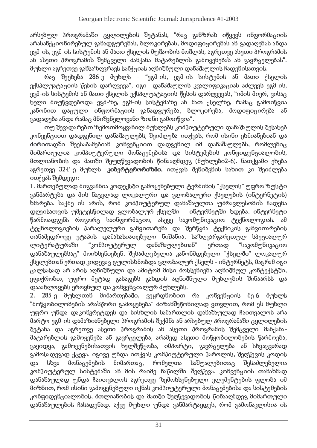არსებულ პროგრამაში ცვლილების შეტანას, "რაც განზრახ იწვევს ინფორმაციის არასანქციონირებულ განადგურებას, ბლოკირებას, მოდიფიცირებას ან გადაღებას ანდა ეგმ-ის, ეგმ-ის სისტემის ან მათი ქსელის მუშაობის მოშლას, აგრეთვე ასეთი პროგრამის ან ასეთი პროგრამის შემცველი მანქანა მატარებლის გამოყენებას ან გავრცელებას". მუხლი აგრეთვე განსაზოვრავს სანქვიას აონიშნული დანაშაულის ჩადენისათვის.

რაც შეეხება 286-ე მუხლს - "ეგმ-ის, ეგმ-ის სისტემის ან მათი ქსელის ექსპლუატაციის წესის დარღვევა", იგი \_ დანაშაულის კვალიფიკაციას აძლევს ეგმ-ის, \_ ეგმ-ის სისტემის ან მათი ქსელის ექსპლუატაციის წესის დარღვევას, "იმის მიერ, ვისაც ხელი მიუწვდებოდა ეგმ-ზე, ეგმ-ის სისტემაზე ან მათ ქსელზე, რამაც გამოიწვია კანონით დაცული ინფორმაციის განადგურება, ბლოკირება, მოდიფიცირება ან გადაღება ანდა რამაც მნიშვნელოვანი ზიანი გამოიწვია".

თუ შევადარებთ ზემოთმოყვანილ მუხლებს კომპიუტერული დანაშაულის შესახებ კონვენციით დადგენილ დანაშაულებს, შეიძლება ითქვას, რომ ისინი ეხმიანებიან და ძირითადში შეესაბამებიან კონვენციით დადგენილ იმ დანაშაულებს, რომლებიც მიმართულია კომპიუტერული მონაცემებისა და სისტემების კონფიდენციალობის. მთლიანობის და მათში შეუღწევადობის წინააღმდეგ (მუხლები2-6). ნათქვამი ეხება აგრეთვე 324'-ე მუხლს -**კიბერტერორიზმი.** ითქვას შენიშვნის სახით კი შეიძლება oodasu dadonao:

1. მართებულად მიგვაჩნია კოდექსში გამოყენებული ტერმინის "ქსელის" უფრო ზუსტი <u>განმარტება და მის ნაცვლად ლოკალური და გლობალური ქსელების (ინტერნეტის</u> ხმარება, საქმე ის არის, რომ კომპიუტერულ დანაშაულთა უმრავლესობის ჩადენა დღეისათვის უმეტესწილად გლობალურ ქსელში - ინტერნეტში ხდება, ინტერნეტი წარმოადგენს როგორი საინფორმაციო, ასევე საკომუნიკაციო ტექნოლოგიას, ამ ტექნოლოგიების პარალელური განვითარება და შერწყმა ტექნიკის განვითარების თანამედროვე ეტაპის დამახასიათებელი ნიშანია. საზოვარგარეთულ სპეციალურ ლიტერატურაში "კომპიუტერულ დანაშაულებთან" ებთან" ერთად "საკომუნიკაციო დანაშაულებსაც" მოიხსენიებენ, შესაძლებელია კანონმდებელი "ქსელში" ლოკალურ ქსელებთან ერთად კიდევაც გულისხმობდა გლობალურ ქსელს - ინტერნეტს, მაგრამ იგი ცალსახად არ არის აღნიშნული და ამიტომ მისი მოხსენიება აღნიშნულ კონტექსტში, ვფიქრობთ, უფრო მეტად გასაგებს გახდის აონიშნული მუხლების შინაარსს და დააახლოვებს ეროვნულ და კონვენციალურ მუხლებს.

2. 285-ე მუხლთან მიმართებაში, თან მიმართებაში, ვეყრდნობით რა კონვენციის მე-6 მუხლს "მოწყობილობების არასწორი გამოყენება" მიზანშეწონილად ვთვლით, რომ ეს მუხლი <u>ოფრო უნდა დაკონკრიტდის და სისხლის სამართლის დანაშაულად ჩაითვალოს არა</u> მარტო ეგმ-ის დამაზიანებელი პროგრამის შექმნა ან არსებულ პროგრამაში ცვლილების შეტანა და აგრეთვე ასეთი პროგრამის ან ასეთი პროგრამის შემცველი მანქანამატარებლის გამოყენება ან გავრცელება, არამედ ასეთი მოწყობილობების წარმოება, გაყიდვა, გამოყენებისათვის ხელშეწყობა, იმპორტი, გავრცელება ან სხვაგვარად <u>გამოსადეგად ქვევა, იგივე უნდა ითქვას კომპიუტერული პაროლის, შეოწევის კოდის -</u> და სხვა მონაცემების მიმართაც, რომელთა H( B)(I) H( B)(I) H( B)(I) H( B)(I) H( B)(I) H( B)(I) H( B)(I) H( B)(I) H( B)(I) H( B)(I) H( B)(I) H( B)(I) H( B)(I) the contract of the contract of the contract of the contract of the contract of the contract of the contract of კომპილტერლ სისტემაში ან მის რაიმე ნაწილში შეოწევა, კონვენციის თანახმად დანაშაულად უნდა ჩაითვალოს აგრეთვე ზემოხსენებული ელემენტების ფლობა იმ მიზნით. რომ ისინი ჯამოყენებული იქნას კომპიუტერული მონაცემებისა და სისტემების კონფიდენგიალობის, მთლიანობის და მათში შეოწევადობის წინააღმდეგ მიმართული დანაშაულების ჩასადენად, აქვე მუხლი უნდა განმარტავდეს, რომ გამონაკლისია ი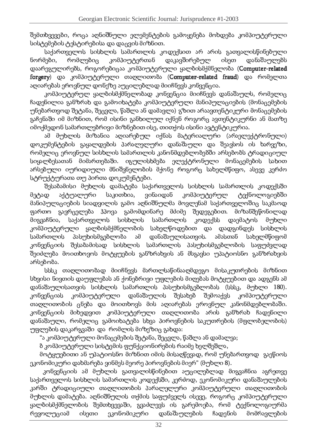შემთხვევები, როცა აღნიშნული ელემენტების გამოყენება მოხდება კომპიუტერული სისტემების ტესტირებისა და დაცვის მიზნით.

საქართველოს სისხლის სამართლის კოდექსით არ არის გათვალისწინებული  $\mathfrak{b}$ ორმები, რომლებიც კომპიუტერთან დაკავშირებულ ისეთ დანაშაულებს დაარეჯულირებს, როგორებიცაა კომპიუტერული ყალბისმქმნელობა (Computer-related  ${\bf for}$ gerv) და კომპილტერლო თაღლითობა ( ${\bf Computer\text{-}related\,}$  fraud) და რომელთა აღიარებას ეროვნულ დონეზე აუცილებლად მიიჩნევს კონვენცია.

კომპილტერლ ყალზისმქმნელობად კონვენცია მიიჩნევს დანაშაულს, რომელიც ჩადენილია განზრახ და გამოიხატეშა კომპიუტერული მანიპულაციების (მონაცემების უნებართვოდ შეტანა, შეცვლა, წაშლა ან დამავლა) გზით არაავთენტიკური მონაცემების გაჩენაში იმ მიზნით, რომ ისინი განხილულ იქნენ როგორც ავთენტიკურნი ან მათზე იმოქმედონ სამართლებრივი მიზნებით ისე, თითქოს ისინი ავტენტიკურია.

ამ მუხლის მიზანია აღიარებულ იქნას მატერიალური (არაელექტრონული დოკუმენტების გაყალდების პარალელური დანაშაული და შეავსოს ის ხარვეზი, რომელიც ეროვნულ სისხლის სამართლის კანონმდებლობებში არსებობს ტრადიციულ სიყალზესათან მიმართებაში. იგულისხმება ელექტრონული მონაცემების სახით არსებული იურიდიული მნიშვნელობის მქონე როგორც სახელმწიფო, ასევე კერძო სტრუქტურათა თუ პირთა დოკუმენტები.

შესაბამისი მუხლის დამატება საქართველოს სისხლის სამართლის კოდექსში მეტად აქტუალური საკითხია, ვინაიდან კომპიუტერულ ტექნოლოგიებში მანიპულაციების სიადვილის გამო აღნიშნულმა მოვლენამ საქართველოშიც საკმაოდ ფართო გავრცელება ჰპოვა გამომდინარე მძიმე შედეგებით, მიზანშეწონილად მიგვაჩნია, საქართველოს სისხლის სამართლის კოდექსს დაემატოს **მუხლი** კომპილტერლო სალზისმქმნელობის სახელწოდებით და დადგინდეს სისხლის სამართლის პასუხისმგებლობა ამ დანაშაულისათვის. ისათვის. ამასთან სახელმწიფომ კონვენციის შესაბამისად სისხლის სამართლის პასუხისმგებლობის საფუძვლად შეიძლება მოითხოვოს მოტყუების განზრახვის ან მსგავსი უპატიოსნო განზრახვის არსებობა.

სსსკ თაღლითობად მიიჩნევს მართლსაწინააღმდეგო მისაკუთრების მიზნით სხვისი ნივთის დაუფლებას ან ქონებრივი უფლების მიღებას მოტყუებით და ადგენს ამ დანაშაულისათვის სისხლის სამართლის პასუხისმგებლობას (სსსკ. მუხლი 180).  $3$ ონვენციას კომპიუტერული დანაშაულის შესახებ ის შესახებ შემოაქვს კომპილტერლოი თაღლითობის ცნება და მოითხოვს მის აღიარებას ეროვნულ კანონმდებლობაში. კონვენციის მიხედვით კომპიუტერული თაღლითობა არის განზრახ ჩადენილი დანაშაული, რომელიც გამოიხატება სხვა პიროვნების საკუთრების (მფლობელობის უფლების დაკარგვაში\_და\_რომლის მიზეზიც გახდა:\_

"ა კომპიუტერული მონაცემების შეტანა, შეცვლა, წაშლა ან დამალვა; -

ბ კომპიუტერული სისტემის ფუნქციონირების რაიმე ხელშეშლა, \_

'?-@An%YA+%E)
H)c(>YAO%(@A)
?B>?r')
dA>)
H)
'%)B '%)B(D\$V+%.%(Ma-,-?-'YA>+%E(,-H.%?[M`F(+%V)
?B ეკონომიკური დახმარება ვინმეს მეორე პიროვნების მიერ" (მუხლი 8).  $\,$ 

კონვენციის ამ მუხლის გათვალისწინებით აუცილებლად მიგვაჩნია აგრეთვე საქართველოს სისხლის სამართლის კოდექსში, კერძოდ, ეკონომიკური დანაშაულების კარში ტრადიციული თაღლითობის პარალელური კომპიუტერული თაღლითობის მოხლის დამატება, აღნიშნულის თქმის საფუძველს ისევე, როგორც კომპიუტერული ყალბისმქმნელობის შემთხვევაში, გვაძლევს ის გარემოება, რომ ტექნოლოგიურმა ,-+.?-I Y\\*ისეთი ეკონომიკური დანაშაულების ების ჩადენის მომრავლები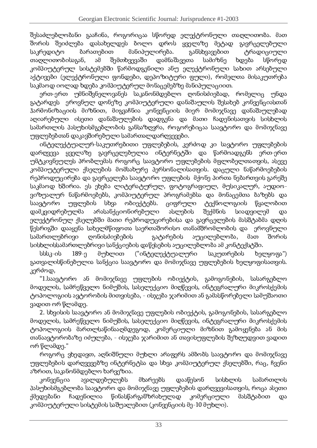შესამლებლობანი გააჩინა, როგორიცაა სწორედ ელექტრონული თაღლითობა, მათ შორის შიიძლება დასახელდეს ბოლო დროს ყველაზე მეტად გავრც  $\mathcal{L}_{\mathcal{A}}$  ,  $\mathcal{L}_{\mathcal{A}}$  ,  $\mathcal{L}_{\mathcal{A}}$  ,  $\mathcal{L}_{\mathcal{A}}$  ,  $\mathcal{L}_{\mathcal{A}}$  ,  $\mathcal{L}_{\mathcal{A}}$  ,  $\mathcal{L}_{\mathcal{A}}$  ,  $\mathcal{L}_{\mathcal{A}}$  ,  $\mathcal{L}_{\mathcal{A}}$  ,  $\mathcal{L}_{\mathcal{A}}$  ,  $\mathcal{L}_{\mathcal{A}}$  ,  $\mathcal{L}_{\mathcal{A}}$  ,  $\mathcal{L}_{\mathcal{A}}$  , საკრედიტო ბარათებით მანიპულირება. განსხვავებით თაღლითობისაგან, ამ შემთხვევაში დამნაშავეთა სამიზნე ხდება სწორედ კომპიუტერულ სისტემში წარმოდგენილი ანუ ელექტრონული სახით არსებული აქტივები (ელექტრონული ფონდები, დეპოზიტური ფული), რომელთა მისაკუთრება საკმაოდ იოლად ხდება კომპიუტერულ მონაცემებზე მანიპულაციით.

ერთ-ერთ უმნიშვნელოვანეს საკანონმდებლო ღონისძიებად, რომელიც უნდა გატარდეს ეროვნულ დონეზე კომპიუტერული დანაშაულის შესახებ კონვენციასთან ჰარმონიზაციის მიზნით, მიგვაჩნია კონვენციის მიერ მომიჯნავე დანაშაულებად აღიარებული ისეთი დანაშაულების დადგენა და მათი ჩადენისათვის სისხლის სამართლის პასუხისმგებლობის განსაზღვრა, როგორებიცაა საავტორო და მომიჯნავე <u>უფლებებთან დაკავშირებული სამართალდარღვევები.</u>

)
>@A+%I +G@AY\(I Y\,\$sB(LY\H,\$+%E)
H) YAj-I +EF+EF)Ba L+%,\$/?[M L) B(.@A?-,-?ZY\j\$I +%E+%E)<sup>B</sup> დაროვევა ყველაზე გავრცელებულია ინტერნეტში და წარმოადგენს ერთ-ერთ <u>ომტკივნეულეს პრობლემას როგორც საავტორო უფლებების მფლობელთათვის, ასევე</u> კომპილტეროლი ქსელების მომსახლრე პერსონალისათვის, დაცლლი ნაწარმოებების რეპროდოცირება და გავრცელება საავტორო უფლების. მქონე პირთა ნებართვის გარეშე საკმაოდ ხშირია, ეს ეხება ლიტერატურულ, ფოტოგრაფიულ, მუსიკალურ, აუდიოვიზუალურ ნაწარმოებებს, კომპიუტერულ პროგრამებსა და მონაცემთა ბაზებს და საავტორო უფლების  $bba$ ,  $p^2$   $p^2$ ციფრული ) was a constructed a construction of the construction of the construction of the construction of the construction of the construction of the construction of the construction of the construction of the construction of the წყალობით დამკვიდრებულმა მა არასანქციონირებულ ასლების შექმნის სიადვილემ  $\infty$ ელექტრონულ ქსელებში მათი რეპროდუცირებისა და ჯავრცელების მასშტაბმა დოის წესრიგში დააყენა სახელმწიფოთა საერთაშორისო თანამშრომლობის და \_ ეროვნული სამართლებრივი ღონისძიებების გატარების )
I +%EI მათ შორის სისხლისსამართლებრივი სანქციების დაწესების აუცილებლობა ამ კონტექსტში.

სსსკ-ის 189-ე მუხლით in the state of the state of the state of the state of the state of the state of the state of the state of the საკუთრების ხელყოფა") გათვალისწინებულია სანქცია საავტორო და მომიჯნავე უფლებების ხელყოფისათვის.  $.306$ ძოდ,

"1.საავტორო ან მომიჯნავე უფლების ობიექტის, გამოგონების, სასარგებლო მოდელის, სამრეწველო ნიმუშის, სასელექციო მიღწევის, ინტეგრალური მიკროსქემის ტოპოლოგიის ავტორობის მითვისება, - ისჯება ჯარიმით ან გამასწორებელი სამუშაოთი ვადით ორ წლამდე.

2. სხვისის საავტორო ან მომიჯნავე უფლების ობიექტის, გამოგონების, სასარგებლო მოდელის, სამრეწველო ნიმუშის, სასელექციო მიღწევის, ინტეგრალური მიკროსქემის ტოპოლოგიის მართლსაწინააღმდეგოდ, კომერცილლი მიზნით გამოყენება ან მის თანაავტორობაზე იძულება, - ისჯება ჯარიმით ან თავისუფლების შეზოუდვით ვადით ორ წლამდე." —

როგორც ვხედავთ, აღნიშნული მუხლი არაფერს ამბობს საავტორო და მომიჯნავე <u>უფლებების დარღვევებზე ინტერნეტსა და სხვა კომპიუტერულ ქსელებში, რაც, ჩვენი</u> აზრით, საკანონმდებლო ხარვეზია.

 $R^3$  $\sim$  (i.e.  $\sim$  )  $\sim$  (i.e.  $\sim$  )  $\sim$  (i.e.  $\sim$  )  $\sim$  (i.e.  $\sim$  )  $\sim$  (i.e.  $\sim$  )  $\sim$ მხარეებს დააწესონ სისხლის ის სამართლის პასუხისმგებლობა საავტორო და მომიჯნავე უფლებების დაროვევისათვის, როცა ასეთი ქმედებანი ჩადენილია წინასწარგანზრახულად ად კომერცილლ მასშტაბით და კომპიუტერული სისტემის საშუალებით (კონვენციის მე-10 მუხლი).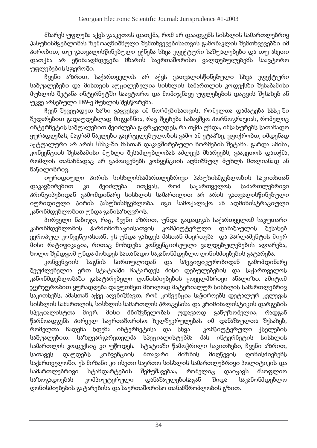მხარეს უფლება აქვს გააკეთოს დათქმა, რომ არ დაადგენს სისხლის სამართლებრივ პასუხისმგებლობას ზემოაღნიშნული შემთხვევებისათვის გამონაკლის შემთხვევებში იმ O%)
,-?-EF)
HaHYl`F(H.(I )BV)
>+EFYAI ) +G>+%E( BK.(+j-+%G@AYA,-) B(NYA(I +EF+EF)&M(HY(B+H) დათქმა არ ეწინააომდეგება მხარის საერთაშორისო ვალდებულებებს საავტორო Y\j\$I +%E+%E)BABj\$+%,\$?N)
^

b%.%+%>)(dA,\$)
Ha B(G(,\$H.+I ?<sup>B</sup> (,e(G.<sup>B</sup> `F(H.%(I )BV)
>+%EY\I ) B%K.%( +j-+G@AY\,\$) საშუალებები და მისთვის აუცილებელია სისხლის სამართლის კოდექსში შესაბამისი მუხლის შეტანა ინტერნეტში საავტორო და მომიჯნავე უფლებების დაცვის შესახებ ან <u>ოკვი არსიბოლი 189-ი მოხლის შისწორიბა.</u>

ჩვენ შევეცადეთ ხაზი გაგვესვა იმ ნორმებისათვის, რომელთა დამატება სსსკ-ში შედარებით გადაუდებლად მიგვაჩნია. რაც შეეხება საბავშვო პორნოგრაფიას, რომელიც ინტერნეტის საშუალებით შეიძლება გავრცელდეს, რა თქმა უნდა, იმსახურებს სათანადო ყურადოებას, მაგრამ ნაკლები გავრცელებულობის გამო ამ ეტაპზე, ვფიქრობთ, იმდენად აქტუალური არ არის სსსკ-ში მასთან დაკავშირებული ნორმების შეტანა, გარდა ამისა, კონვენციის შესაზამისი მუხლი შესაძლებლობას აძლევს მხარეებს, გააკეთოს დათქმა, რომლის თანახმადაც არ გამოიყენებს კონვენციის აღნიშნულ მუხლს მთლიანად ან >(V)
I ?-EF,\$)
.^

იურიდიული პირის სისხლისსამართლებრივი პასუხისმგებლობის საკითხთან დაკავშირებით კი შეიძლება ითქვას, რომ საქართველოს ოს სამართლებრივი პრინციპებიდან გამომდინარე სისხლის სამართლით არ არის გათვალისწინებული იურიდიული პირის პასუხისმგებლობა. იგი სამოქალაქო ან ადმინისტრაციული კანონმდებლობით უნდა განისაზოვროს.

პირველი ნაბიჯი, რაც, ჩვენი აზრით, უნდა გადადგას საქართველომ საკუთარი კანონმდებლობის ჰარმონიზაც კომპიუტერული დანაშაულის შესახებ. ევროპულ კონვენციასთან, ეს უნდა გახდეს მასთან მიერთება \_და პარლამენტის მიერ მისი რატიფიკაცია, რითაც მოხდება კონვენციისელო ვალდებლლებების აღიარება, ხოლო შემდგომ უნდა მოხდეს სათანადო საკანონმდებლო ღონისძიებების გატარება.

 $3$ ონვენციის საგნის სირთულიდან , and the contract of the contract of the contract of the contract of the contract of the contract of the contract of the contract of the contract of the contract of the contract of the contract of the contract of the con გამომდინარე შეუძლებელია ერთ სტატიაში ჩატარდეს მისი დებულებების და საქართველოს კანონმდებლობაში გასატარებელი ღონისძიებების ყოველმხრივი ანალიზი, ამიტომ ჯერჯერობით ყურადღება დავუთმეთ მხოლოდ მატერიალურ სისხლის სამართლებრივ საკითხებს, ამასთან აქვე აღვნიშნავთ, რომ კონვენცია საჭიროებს დეტალურ კვლევას სისხლის სამართლის, სისხლის სამართლის პროცესისა და კრიმინალისტიკის დარგების BO%+%\*-)
(I მიერ. მისი მნიშვნელობას უდავაოდ განუზომელია, რადგან წარმოადგენს პირველ საერთაშორისო ხელშეკრულებას იმ დანაშაულთა შესახებ, </u> რომილთა ჩადინა ხდიბა ინტირნიტისა და სხვა — კომპილტირლლ the state of the state of the state of the state of the state of the state of the state of the state of the state of the state of the state of the state of the state of the state of the state of the state of the state of t საშუალებით. ებით, საზღვარგარეთელმა სპეციალ ისტებმა მას ინტერნეტის სისხლის B('(,-HI )B&L?[M+GB)
\* L)zYAV?[M+B^ B@A(@A)
(N)rV('?-Q,-)
I ) B(L)
HK+EF)
a[b%.+>)r(dA,-)
Ha სათავეს დაუდებს კონვენციის მთავარი მიზნის მიღწევის ღონისძიებებს საქართველოში, ეს მიზანი კი ისეთი საერთო სისხლის სამართლებრივი პოლიტიკის და სამართლებრივი სტანდარტების შემუშავებაა, რომელიც  $\omega$ აიცავს ავს მსოფლიო საზოგადოებას კომპიუტერული დანაშაულებისაგან ებისაგან შიდა საკანონმდებლო ღონისძიებების გატარებისა და საერთაშორისო თანამშრომლობის გზით